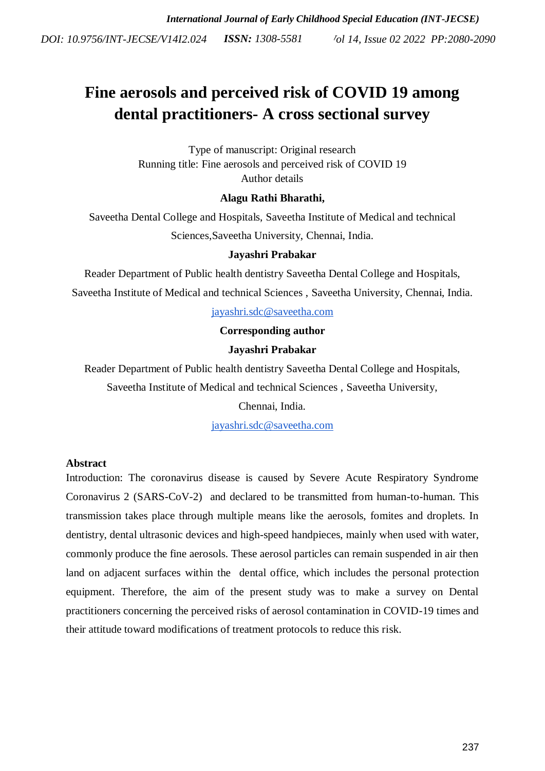# **Fine aerosols and perceived risk of COVID 19 among dental practitioners- A cross sectional survey**

Type of manuscript: Original research Running title: Fine aerosols and perceived risk of COVID 19 Author details

# **Alagu Rathi Bharathi,**

Saveetha Dental College and Hospitals, Saveetha Institute of Medical and technical Sciences,Saveetha University, Chennai, India.

## **Jayashri Prabakar**

Reader Department of Public health dentistry Saveetha Dental College and Hospitals,

Saveetha Institute of Medical and technical Sciences , Saveetha University, Chennai, India.

[jayashri.sdc@saveetha.com](mailto:jayashri.sdc@saveetha.com)

## **Corresponding author**

## **Jayashri Prabakar**

Reader Department of Public health dentistry Saveetha Dental College and Hospitals,

Saveetha Institute of Medical and technical Sciences , Saveetha University,

## Chennai, India.

[jayashri.sdc@saveetha.com](mailto:jayashri.sdc@saveetha.com)

## **Abstract**

Introduction: The coronavirus disease is caused by Severe Acute Respiratory Syndrome Coronavirus 2 (SARS-CoV-2) and declared to be transmitted from human-to-human. This transmission takes place through multiple means like the aerosols, fomites and droplets. In dentistry, dental ultrasonic devices and high-speed handpieces, mainly when used with water, commonly produce the fine aerosols. These aerosol particles can remain suspended in air then land on adjacent surfaces within the dental office, which includes the personal protection equipment. Therefore, the aim of the present study was to make a survey on Dental practitioners concerning the perceived risks of aerosol contamination in COVID-19 times and their attitude toward modifications of treatment protocols to reduce this risk.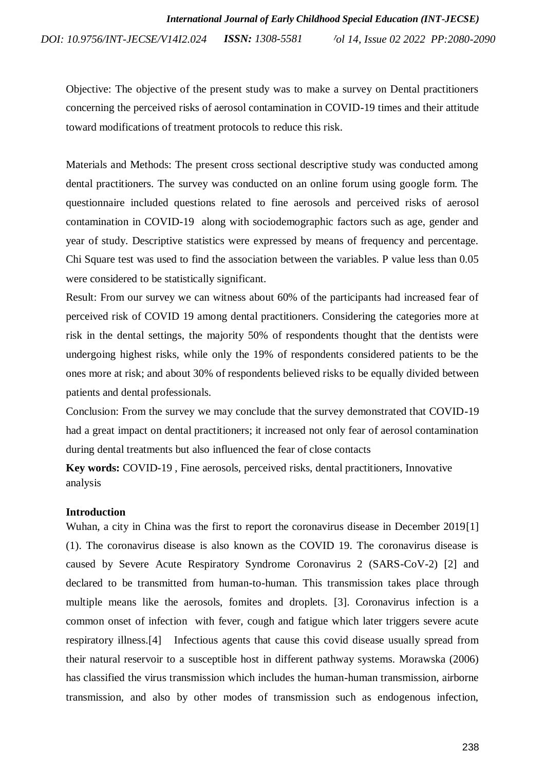Objective: The objective of the present study was to make a survey on Dental practitioners concerning the perceived risks of aerosol contamination in COVID-19 times and their attitude toward modifications of treatment protocols to reduce this risk.

Materials and Methods: The present cross sectional descriptive study was conducted among dental practitioners. The survey was conducted on an online forum using google form. The questionnaire included questions related to fine aerosols and perceived risks of aerosol contamination in COVID-19 along with sociodemographic factors such as age, gender and year of study. Descriptive statistics were expressed by means of frequency and percentage. Chi Square test was used to find the association between the variables. P value less than 0.05 were considered to be statistically significant.

Result: From our survey we can witness about 60% of the participants had increased fear of perceived risk of COVID 19 among dental practitioners. Considering the categories more at risk in the dental settings, the majority 50% of respondents thought that the dentists were undergoing highest risks, while only the 19% of respondents considered patients to be the ones more at risk; and about 30% of respondents believed risks to be equally divided between patients and dental professionals.

Conclusion: From the survey we may conclude that the survey demonstrated that COVID-19 had a great impact on dental practitioners; it increased not only fear of aerosol contamination during dental treatments but also influenced the fear of close contacts

**Key words:** COVID-19 , Fine aerosols, perceived risks, dental practitioners, Innovative analysis

## **Introduction**

Wuhan, a city in China was the first to report the coronavirus disease in December 201[9\[1\]](https://paperpile.com/c/Gw4A79/w4Nv) (1). The coronavirus disease is also known as the COVID 19. The coronavirus disease is caused by Severe Acute Respiratory Syndrome Coronavirus 2 (SARS-CoV-2) [\[2\]](https://paperpile.com/c/Gw4A79/AqP5) and declared to be transmitted from human-to-human. This transmission takes place through multiple means like the aerosols, fomites and droplets. [\[3\].](https://paperpile.com/c/Gw4A79/vFCC) Coronavirus infection is a common onset of infection with fever, cough and fatigue which later triggers severe acute respiratory illness[.\[4\]](https://paperpile.com/c/Gw4A79/SZhb) Infectious agents that cause this covid disease usually spread from their natural reservoir to a susceptible host in different pathway systems. Morawska (2006) has classified the virus transmission which includes the human-human transmission, airborne transmission, and also by other modes of transmission such as endogenous infection,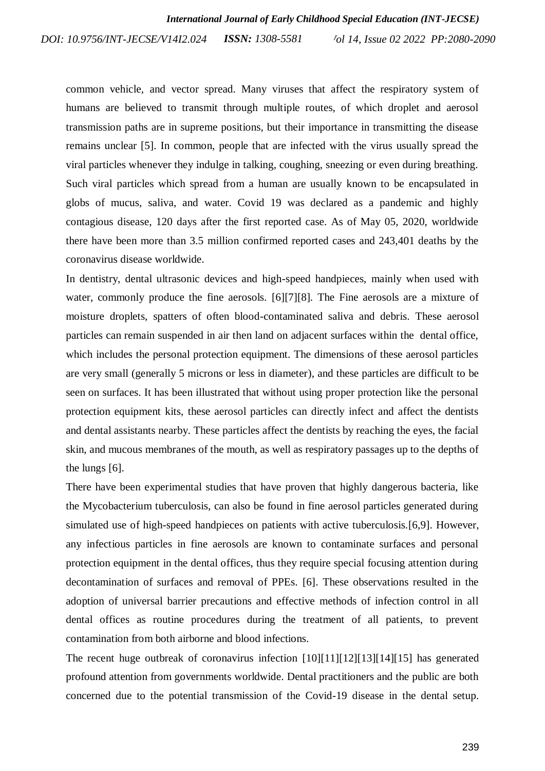common vehicle, and vector spread. Many viruses that affect the respiratory system of humans are believed to transmit through multiple routes, of which droplet and aerosol transmission paths are in supreme positions, but their importance in transmitting the disease remains unclear [\[5\].](https://paperpile.com/c/Gw4A79/DNN7) In common, people that are infected with the virus usually spread the viral particles whenever they indulge in talking, coughing, sneezing or even during breathing. Such viral particles which spread from a human are usually known to be encapsulated in globs of mucus, saliva, and water. Covid 19 was declared as a pandemic and highly contagious disease, 120 days after the first reported case. As of May 05, 2020, worldwide there have been more than 3.5 million confirmed reported cases and 243,401 deaths by the coronavirus disease worldwide.

In dentistry, dental ultrasonic devices and high-speed handpieces, mainly when used with water, commonly produce the fine aerosols. [\[6\]\[7\]](https://paperpile.com/c/Gw4A79/rIxQ)[\[8\].](https://paperpile.com/c/Gw4A79/TA2r) The Fine aerosols are a mixture of moisture droplets, spatters of often blood-contaminated saliva and debris. These aerosol particles can remain suspended in air then land on adjacent surfaces within the dental office, which includes the personal protection equipment. The dimensions of these aerosol particles are very small (generally 5 microns or less in diameter), and these particles are difficult to be seen on surfaces. It has been illustrated that without using proper protection like the personal protection equipment kits, these aerosol particles can directly infect and affect the dentists and dental assistants nearby. These particles affect the dentists by reaching the eyes, the facial skin, and mucous membranes of the mouth, as well as respiratory passages up to the depths of the lungs [\[6\].](https://paperpile.com/c/Gw4A79/rIxQ)

There have been experimental studies that have proven that highly dangerous bacteria, like the Mycobacterium tuberculosis, can also be found in fine aerosol particles generated during simulated use of high-speed handpieces on patients with active tuberculosis[.\[6,9\].](https://paperpile.com/c/Gw4A79/rIxQ+Qj6A) However, any infectious particles in fine aerosols are known to contaminate surfaces and personal protection equipment in the dental offices, thus they require special focusing attention during decontamination of surfaces and removal of PPEs. [\[6\].](https://paperpile.com/c/Gw4A79/rIxQ) These observations resulted in the adoption of universal barrier precautions and effective methods of infection control in all dental offices as routine procedures during the treatment of all patients, to prevent contamination from both airborne and blood infections.

The recent huge outbreak of coronavirus infection [\[10\]\[11\]\[](https://paperpile.com/c/Gw4A79/SH42)12[\]\[13\]\[](https://paperpile.com/c/Gw4A79/brEU)14[\]\[15\]](https://paperpile.com/c/Gw4A79/uMzZ) has generated profound attention from governments worldwide. Dental practitioners and the public are both concerned due to the potential transmission of the Covid-19 disease in the dental setup.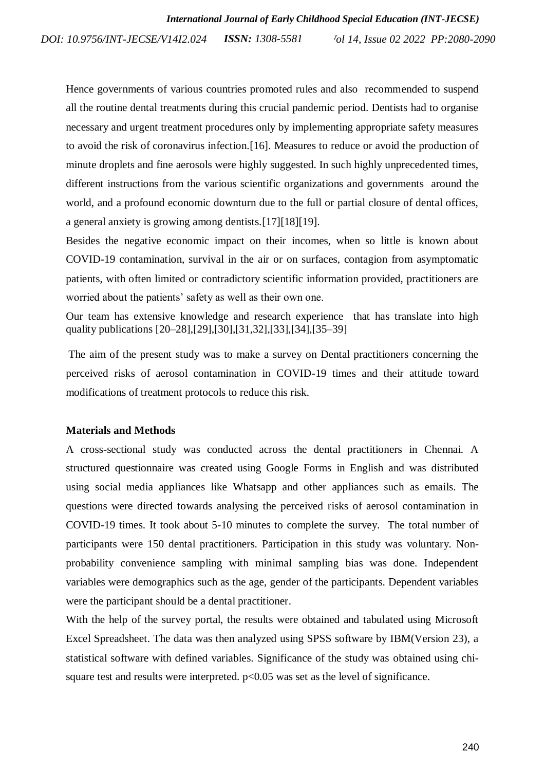Hence governments of various countries promoted rules and also recommended to suspend all the routine dental treatments during this crucial pandemic period. Dentists had to organise necessary and urgent treatment procedures only by implementing appropriate safety measures to avoid the risk of coronavirus infection[.\[16\].](https://paperpile.com/c/Gw4A79/ak9H) Measures to reduce or avoid the production of minute droplets and fine aerosols were highly suggested. In such highly unprecedented times, different instructions from the various scientific organizations and governments around the world, and a profound economic downturn due to the full or partial closure of dental offices, a general anxiety is growing among dentists[.\[17\]\[18\]](https://paperpile.com/c/Gw4A79/EJY8)[\[19\].](https://paperpile.com/c/Gw4A79/vWbv)

Besides the negative economic impact on their incomes, when so little is known about COVID-19 contamination, survival in the air or on surfaces, contagion from asymptomatic patients, with often limited or contradictory scientific information provided, practitioners are worried about the patients' safety as well as their own one.

Our team has extensive knowledge and research experience that has translate into high quality publications [\[20–28\]](https://paperpile.com/c/Gw4A79/DMZqt+XN9ud+937RV+xRq91+93EUu+BP6SJ+Iy0vA+2IzIT+90so1)[,\[29\]](https://paperpile.com/c/Gw4A79/iXkxo)[,\[30\]](https://paperpile.com/c/Gw4A79/6xhws)[,\[31,32\]](https://paperpile.com/c/Gw4A79/0L5Tj+XeuAl)[,\[33\],](https://paperpile.com/c/Gw4A79/xv1jS)[\[34\]](https://paperpile.com/c/Gw4A79/qDC6v)[,\[35–39\]](https://paperpile.com/c/Gw4A79/Ry1fT+oU1iC+znvaL+ybjtC+dgfMF)

The aim of the present study was to make a survey on Dental practitioners concerning the perceived risks of aerosol contamination in COVID-19 times and their attitude toward modifications of treatment protocols to reduce this risk.

#### **Materials and Methods**

A cross-sectional study was conducted across the dental practitioners in Chennai. A structured questionnaire was created using Google Forms in English and was distributed using social media appliances like Whatsapp and other appliances such as emails. The questions were directed towards analysing the perceived risks of aerosol contamination in COVID-19 times. It took about 5-10 minutes to complete the survey. The total number of participants were 150 dental practitioners. Participation in this study was voluntary. Nonprobability convenience sampling with minimal sampling bias was done. Independent variables were demographics such as the age, gender of the participants. Dependent variables were the participant should be a dental practitioner.

With the help of the survey portal, the results were obtained and tabulated using Microsoft Excel Spreadsheet. The data was then analyzed using SPSS software by IBM(Version 23), a statistical software with defined variables. Significance of the study was obtained using chisquare test and results were interpreted.  $p<0.05$  was set as the level of significance.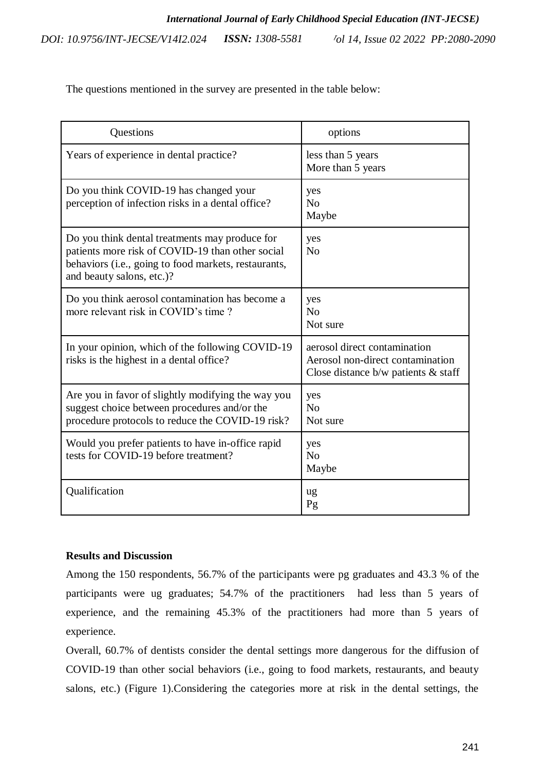The questions mentioned in the survey are presented in the table below:

| Questions                                                                                                                                                                               | options                                                                                                      |
|-----------------------------------------------------------------------------------------------------------------------------------------------------------------------------------------|--------------------------------------------------------------------------------------------------------------|
| Years of experience in dental practice?                                                                                                                                                 | less than 5 years<br>More than 5 years                                                                       |
| Do you think COVID-19 has changed your<br>perception of infection risks in a dental office?                                                                                             | yes<br>No<br>Maybe                                                                                           |
| Do you think dental treatments may produce for<br>patients more risk of COVID-19 than other social<br>behaviors (i.e., going to food markets, restaurants,<br>and beauty salons, etc.)? | yes<br>No                                                                                                    |
| Do you think aerosol contamination has become a<br>more relevant risk in COVID's time?                                                                                                  | yes<br>N <sub>0</sub><br>Not sure                                                                            |
| In your opinion, which of the following COVID-19<br>risks is the highest in a dental office?                                                                                            | aerosol direct contamination<br>Aerosol non-direct contamination<br>Close distance $b/w$ patients $\&$ staff |
| Are you in favor of slightly modifying the way you<br>suggest choice between procedures and/or the<br>procedure protocols to reduce the COVID-19 risk?                                  | yes<br>No<br>Not sure                                                                                        |
| Would you prefer patients to have in-office rapid<br>tests for COVID-19 before treatment?                                                                                               | yes<br>N <sub>0</sub><br>Maybe                                                                               |
| Qualification                                                                                                                                                                           | ug<br>Pg                                                                                                     |

## **Results and Discussion**

Among the 150 respondents, 56.7% of the participants were pg graduates and 43.3 % of the participants were ug graduates; 54.7% of the practitioners had less than 5 years of experience, and the remaining 45.3% of the practitioners had more than 5 years of experience.

Overall, 60.7% of dentists consider the dental settings more dangerous for the diffusion of COVID-19 than other social behaviors (i.e., going to food markets, restaurants, and beauty salons, etc.) (Figure 1).Considering the categories more at risk in the dental settings, the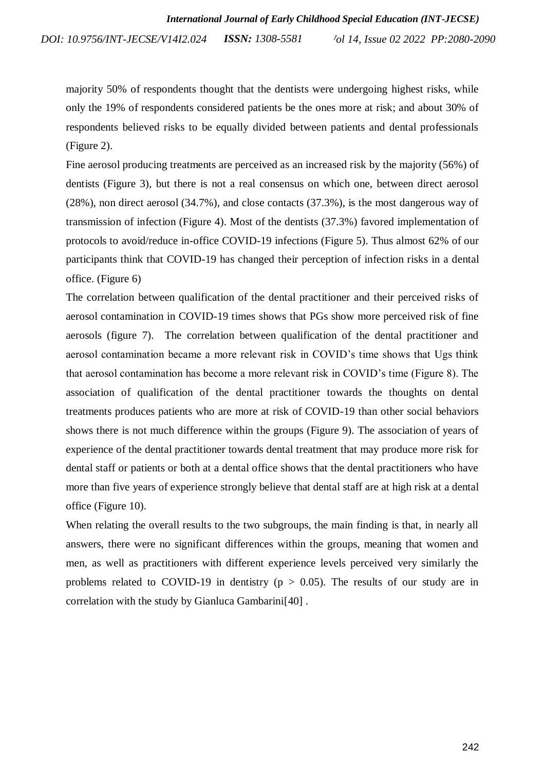majority 50% of respondents thought that the dentists were undergoing highest risks, while only the 19% of respondents considered patients be the ones more at risk; and about 30% of respondents believed risks to be equally divided between patients and dental professionals (Figure 2).

Fine aerosol producing treatments are perceived as an increased risk by the majority (56%) of dentists (Figure 3), but there is not a real consensus on which one, between direct aerosol (28%), non direct aerosol (34.7%), and close contacts (37.3%), is the most dangerous way of transmission of infection (Figure 4). Most of the dentists (37.3%) favored implementation of protocols to avoid/reduce in-office COVID-19 infections (Figure 5). Thus almost 62% of our participants think that COVID-19 has changed their perception of infection risks in a dental office. (Figure 6)

The correlation between qualification of the dental practitioner and their perceived risks of aerosol contamination in COVID-19 times shows that PGs show more perceived risk of fine aerosols (figure 7). The correlation between qualification of the dental practitioner and aerosol contamination became a more relevant risk in COVID's time shows that Ugs think that aerosol contamination has become a more relevant risk in COVID's time (Figure 8). The association of qualification of the dental practitioner towards the thoughts on dental treatments produces patients who are more at risk of COVID-19 than other social behaviors shows there is not much difference within the groups (Figure 9). The association of years of experience of the dental practitioner towards dental treatment that may produce more risk for dental staff or patients or both at a dental office shows that the dental practitioners who have more than five years of experience strongly believe that dental staff are at high risk at a dental office (Figure 10).

When relating the overall results to the two subgroups, the main finding is that, in nearly all answers, there were no significant differences within the groups, meaning that women and men, as well as practitioners with different experience levels perceived very similarly the problems related to COVID-19 in dentistry ( $p > 0.05$ ). The results of our study are in correlation with the study by Gianluca Gambarin[i\[40\]](https://paperpile.com/c/Gw4A79/Cxsm) .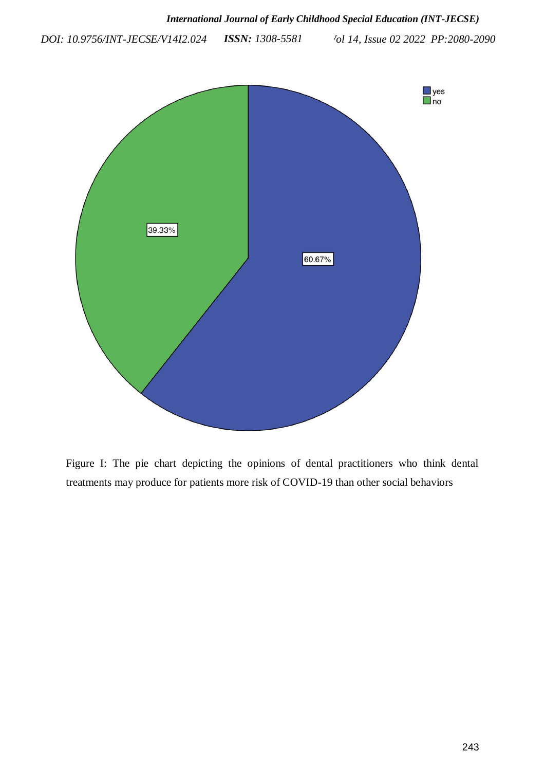

Figure I: The pie chart depicting the opinions of dental practitioners who think dental treatments may produce for patients more risk of COVID-19 than other social behaviors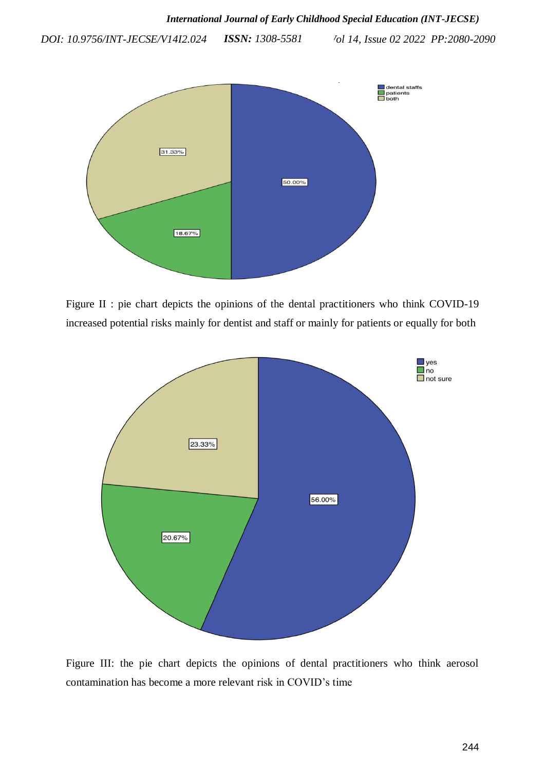

Figure II : pie chart depicts the opinions of the dental practitioners who think COVID-19 increased potential risks mainly for dentist and staff or mainly for patients or equally for both



Figure III: the pie chart depicts the opinions of dental practitioners who think aerosol contamination has become a more relevant risk in COVID's time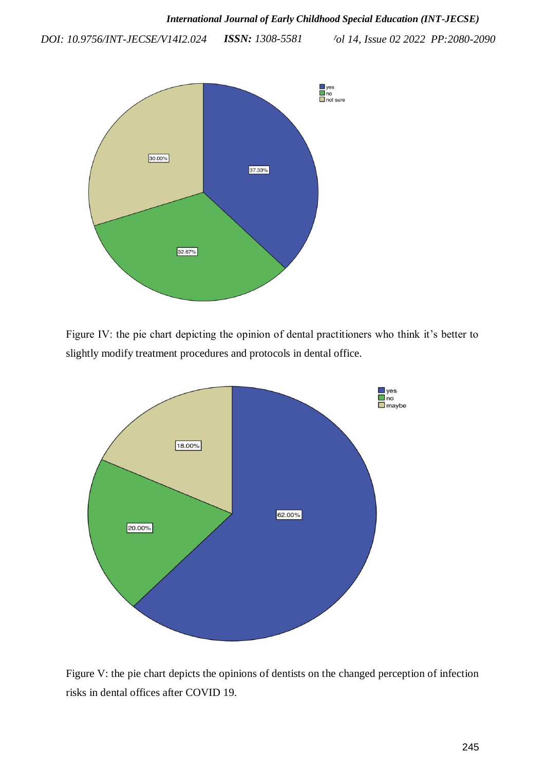

Figure IV: the pie chart depicting the opinion of dental practitioners who think it's better to slightly modify treatment procedures and protocols in dental office.



Figure V: the pie chart depicts the opinions of dentists on the changed perception of infection risks in dental offices after COVID 19.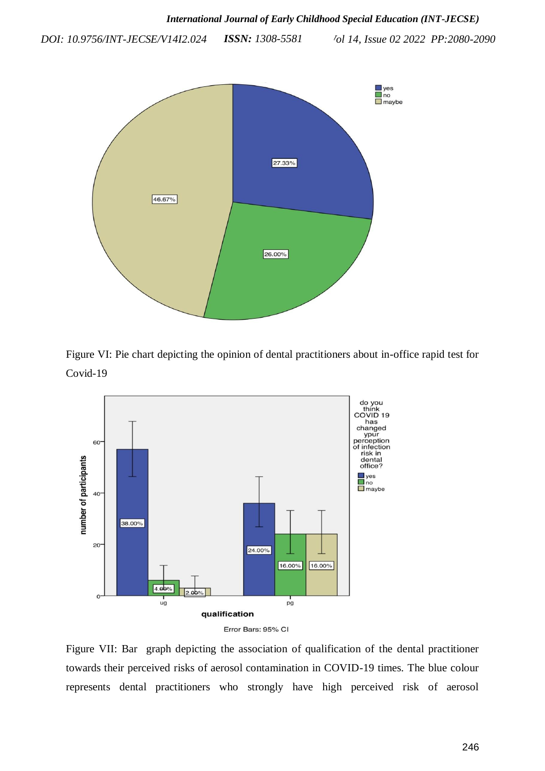

Figure VI: Pie chart depicting the opinion of dental practitioners about in-office rapid test for Covid-19





Figure VII: Bar graph depicting the association of qualification of the dental practitioner towards their perceived risks of aerosol contamination in COVID-19 times. The blue colour represents dental practitioners who strongly have high perceived risk of aerosol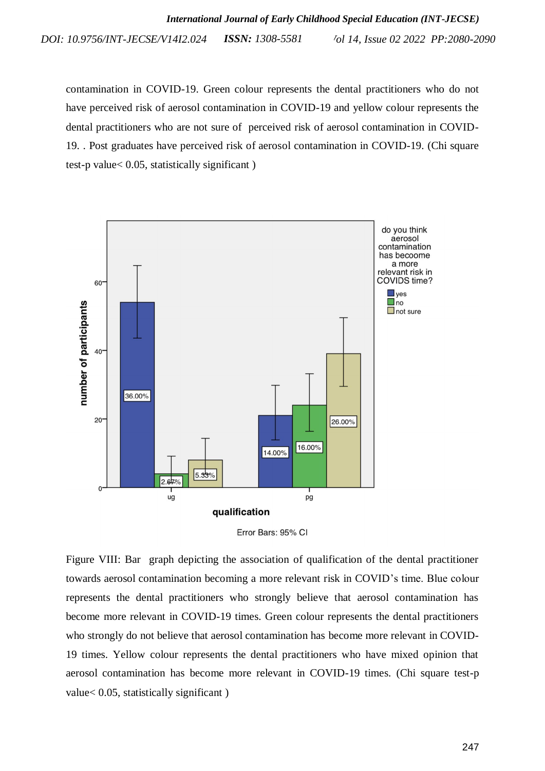*Vol 14, Issue 02 2022 PP:2080-2090 DOI: 10.9756/INT-JECSE/V14I2.024 ISSN: 1308-5581*

contamination in COVID-19. Green colour represents the dental practitioners who do not have perceived risk of aerosol contamination in COVID-19 and yellow colour represents the dental practitioners who are not sure of perceived risk of aerosol contamination in COVID-19. . Post graduates have perceived risk of aerosol contamination in COVID-19. (Chi square test-p value< 0.05, statistically significant )





Figure VIII: Bar graph depicting the association of qualification of the dental practitioner towards aerosol contamination becoming a more relevant risk in COVID's time. Blue colour represents the dental practitioners who strongly believe that aerosol contamination has become more relevant in COVID-19 times. Green colour represents the dental practitioners who strongly do not believe that aerosol contamination has become more relevant in COVID-19 times. Yellow colour represents the dental practitioners who have mixed opinion that aerosol contamination has become more relevant in COVID-19 times. (Chi square test-p value< 0.05, statistically significant )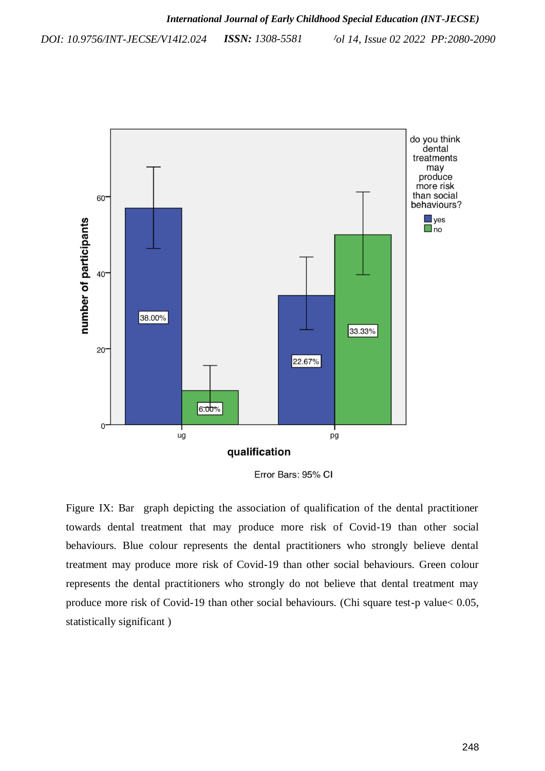

Error Bars: 95% CI

Figure IX: Bar graph depicting the association of qualification of the dental practitioner towards dental treatment that may produce more risk of Covid-19 than other social behaviours. Blue colour represents the dental practitioners who strongly believe dental treatment may produce more risk of Covid-19 than other social behaviours. Green colour represents the dental practitioners who strongly do not believe that dental treatment may produce more risk of Covid-19 than other social behaviours. (Chi square test-p value< 0.05, statistically significant )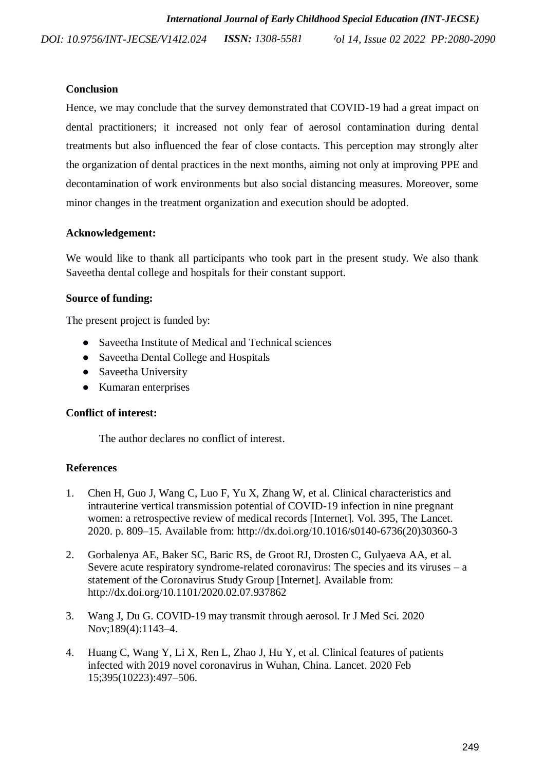# **Conclusion**

Hence, we may conclude that the survey demonstrated that COVID-19 had a great impact on dental practitioners; it increased not only fear of aerosol contamination during dental treatments but also influenced the fear of close contacts. This perception may strongly alter the organization of dental practices in the next months, aiming not only at improving PPE and decontamination of work environments but also social distancing measures. Moreover, some minor changes in the treatment organization and execution should be adopted.

# **Acknowledgement:**

We would like to thank all participants who took part in the present study. We also thank Saveetha dental college and hospitals for their constant support.

# **Source of funding:**

The present project is funded by:

- Saveetha Institute of Medical and Technical sciences
- Saveetha Dental College and Hospitals
- Saveetha University
- Kumaran enterprises

# **Conflict of interest:**

The author declares no conflict of interest.

# **References**

- 1. [Chen H, Guo J, Wang C, Luo F, Yu X, Zhang W, et al. Clinical characteristics and](http://paperpile.com/b/Gw4A79/w4Nv)  [intrauterine vertical transmission potential of COVID-19 infection in nine pregnant](http://paperpile.com/b/Gw4A79/w4Nv)  [women: a retrospective review of medical records \[Internet\]. Vol. 395, The Lancet.](http://paperpile.com/b/Gw4A79/w4Nv)  2020. p. [809–15. Available from: http://dx.doi.org/10.1016/s0140-6736\(20\)30360-3](http://paperpile.com/b/Gw4A79/w4Nv)
- 2. [Gorbalenya AE, Baker SC, Baric RS, de Groot RJ, Drosten C, Gulyaeva AA, et al.](http://paperpile.com/b/Gw4A79/AqP5)  Severe acute respiratory syndrome-related coronavirus: The species and its viruses  $-$  a [statement of the Coronavirus Study Group \[Internet\]. Available from:](http://paperpile.com/b/Gw4A79/AqP5)  [http://dx.doi.org/10.1101/2020.02.07.937862](http://paperpile.com/b/Gw4A79/AqP5)
- 3. [Wang J, Du G. COVID-19 may transmit through aerosol. Ir J Med Sci. 2020](http://paperpile.com/b/Gw4A79/vFCC)  [Nov;189\(4\):1143–4.](http://paperpile.com/b/Gw4A79/vFCC)
- 4. [Huang C, Wang Y, Li X, Ren L, Zhao J, Hu Y, et al. Clinical features of patients](http://paperpile.com/b/Gw4A79/SZhb)  [infected with 2019 novel coronavirus in Wuhan, China. Lancet. 2020 Feb](http://paperpile.com/b/Gw4A79/SZhb)  [15;395\(10223\):497–506.](http://paperpile.com/b/Gw4A79/SZhb)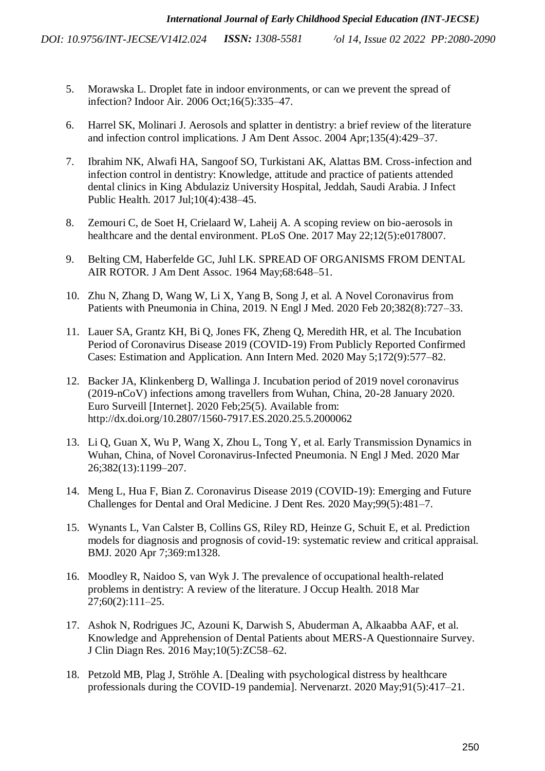- 5. [Morawska L. Droplet fate in indoor environments, or can we prevent the spread of](http://paperpile.com/b/Gw4A79/DNN7)  [infection? Indoor Air. 2006 Oct;16\(5\):335–47.](http://paperpile.com/b/Gw4A79/DNN7)
- 6. [Harrel SK, Molinari J. Aerosols and splatter in dentistry: a brief review of the literature](http://paperpile.com/b/Gw4A79/rIxQ)  and infection control implications. J [Am Dent Assoc. 2004 Apr;135\(4\):429–37.](http://paperpile.com/b/Gw4A79/rIxQ)
- 7. [Ibrahim NK, Alwafi HA, Sangoof SO, Turkistani AK, Alattas BM. Cross-infection and](http://paperpile.com/b/Gw4A79/5hmN)  [infection control in dentistry: Knowledge, attitude and practice of patients attended](http://paperpile.com/b/Gw4A79/5hmN)  [dental clinics in King Abdulaziz University Hospital, Jeddah, Saudi Arabia. J Infect](http://paperpile.com/b/Gw4A79/5hmN)  [Public Health. 2017 Jul;10\(4\):438–45.](http://paperpile.com/b/Gw4A79/5hmN)
- 8. [Zemouri C, de Soet H, Crielaard W, Laheij A. A scoping review on bio-aerosols in](http://paperpile.com/b/Gw4A79/TA2r)  [healthcare and the dental environment. PLoS One. 2017 May 22;12\(5\):e0178007.](http://paperpile.com/b/Gw4A79/TA2r)
- 9. [Belting CM, Haberfelde GC, Juhl LK. SPREAD OF ORGANISMS FROM DENTAL](http://paperpile.com/b/Gw4A79/Qj6A)  [AIR ROTOR. J Am Dent Assoc. 1964 May;68:648–51.](http://paperpile.com/b/Gw4A79/Qj6A)
- 10. [Zhu N, Zhang D, Wang W, Li X, Yang B, Song J, et al. A Novel Coronavirus from](http://paperpile.com/b/Gw4A79/SH42)  [Patients with Pneumonia in China, 2019. N Engl J Med. 2020 Feb 20;382\(8\):727–33.](http://paperpile.com/b/Gw4A79/SH42)
- 11. [Lauer SA, Grantz KH, Bi Q, Jones FK, Zheng Q, Meredith HR, et al. The Incubation](http://paperpile.com/b/Gw4A79/WKXo)  [Period of Coronavirus Disease 2019 \(COVID-19\) From Publicly Reported Confirmed](http://paperpile.com/b/Gw4A79/WKXo)  [Cases: Estimation and Application. Ann Intern Med. 2020 May 5;172\(9\):577–82.](http://paperpile.com/b/Gw4A79/WKXo)
- 12. [Backer JA, Klinkenberg D, Wallinga J. Incubation period of 2019 novel coronavirus](http://paperpile.com/b/Gw4A79/brEU)  [\(2019-nCoV\) infections among travellers from Wuhan, China, 20-28 January 2020.](http://paperpile.com/b/Gw4A79/brEU)  [Euro Surveill \[Internet\]. 2020 Feb;25\(5\). Available from:](http://paperpile.com/b/Gw4A79/brEU)  [http://dx.doi.org/10.2807/1560-7917.ES.2020.25.5.2000062](http://paperpile.com/b/Gw4A79/brEU)
- 13. [Li Q, Guan X, Wu P, Wang X, Zhou L, Tong Y, et al. Early Transmission Dynamics in](http://paperpile.com/b/Gw4A79/V7Iq)  [Wuhan, China, of Novel Coronavirus-Infected Pneumonia. N Engl J Med. 2020 Mar](http://paperpile.com/b/Gw4A79/V7Iq)  [26;382\(13\):1199–207.](http://paperpile.com/b/Gw4A79/V7Iq)
- 14. [Meng L, Hua F, Bian Z. Coronavirus Disease 2019 \(COVID-19\): Emerging and Future](http://paperpile.com/b/Gw4A79/uMzZ)  [Challenges for Dental and Oral Medicine. J Dent Res. 2020 May;99\(5\):481–7.](http://paperpile.com/b/Gw4A79/uMzZ)
- 15. [Wynants L, Van Calster B, Collins GS, Riley RD, Heinze G, Schuit E, et al. Prediction](http://paperpile.com/b/Gw4A79/fsph)  [models for diagnosis and prognosis of covid-19: systematic review and critical appraisal.](http://paperpile.com/b/Gw4A79/fsph)  [BMJ. 2020 Apr 7;369:m1328.](http://paperpile.com/b/Gw4A79/fsph)
- 16. [Moodley R, Naidoo S, van Wyk J. The prevalence of occupational health-related](http://paperpile.com/b/Gw4A79/ak9H)  [problems in dentistry: A review of the literature. J Occup Health. 2018 Mar](http://paperpile.com/b/Gw4A79/ak9H)  [27;60\(2\):111–25.](http://paperpile.com/b/Gw4A79/ak9H)
- 17. [Ashok N, Rodrigues JC, Azouni K, Darwish S, Abuderman A, Alkaabba AAF, et al.](http://paperpile.com/b/Gw4A79/EJY8)  [Knowledge and Apprehension of Dental Patients about MERS-A Questionnaire Survey.](http://paperpile.com/b/Gw4A79/EJY8)  [J Clin Diagn Res. 2016 May;10\(5\):ZC58–62.](http://paperpile.com/b/Gw4A79/EJY8)
- 18. [Petzold MB, Plag J, Ströhle A. \[Dealing with psychological distress by healthcare](http://paperpile.com/b/Gw4A79/SpgY)  [professionals during the COVID-19 pandemia\]. Nervenarzt. 2020 May;91\(5\):417–21.](http://paperpile.com/b/Gw4A79/SpgY)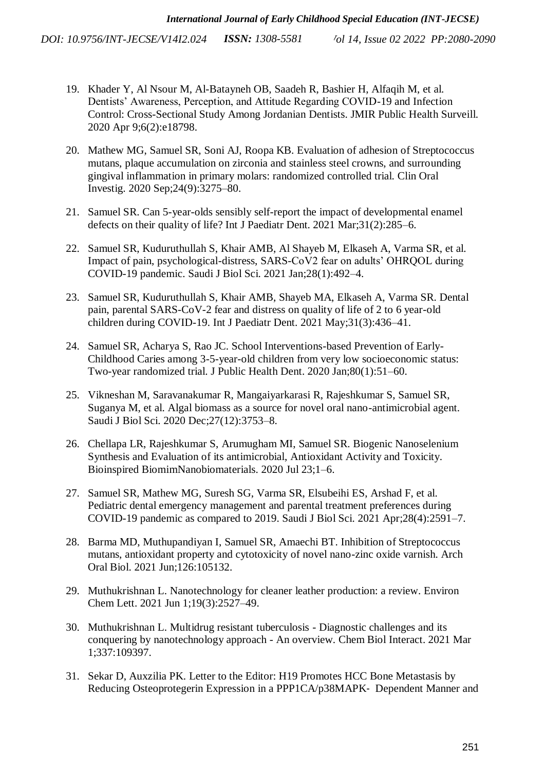- 19. [Khader Y, Al Nsour M, Al-Batayneh OB, Saadeh R, Bashier H, Alfaqih M, et al.](http://paperpile.com/b/Gw4A79/vWbv)  [Dentists' Awareness, Perception, and Attitude Regarding COVID-19 and Infection](http://paperpile.com/b/Gw4A79/vWbv)  [Control: Cross-Sectional Study Among Jordanian Dentists. JMIR Public Health Surveill.](http://paperpile.com/b/Gw4A79/vWbv)  [2020 Apr 9;6\(2\):e18798.](http://paperpile.com/b/Gw4A79/vWbv)
- 20. [Mathew MG, Samuel SR, Soni AJ, Roopa KB. Evaluation of adhesion of Streptococcus](http://paperpile.com/b/Gw4A79/DMZqt)  [mutans, plaque accumulation on zirconia and stainless steel crowns, and surrounding](http://paperpile.com/b/Gw4A79/DMZqt)  [gingival inflammation in primary molars: randomized controlled trial. Clin Oral](http://paperpile.com/b/Gw4A79/DMZqt)  [Investig. 2020 Sep;24\(9\):3275–80.](http://paperpile.com/b/Gw4A79/DMZqt)
- 21. [Samuel SR. Can 5-year-olds sensibly self-report the impact of developmental enamel](http://paperpile.com/b/Gw4A79/XN9ud)  [defects on their quality of life? Int J Paediatr Dent. 2021 Mar;31\(2\):285–6.](http://paperpile.com/b/Gw4A79/XN9ud)
- 22. [Samuel SR, Kuduruthullah S, Khair AMB, Al Shayeb M, Elkaseh A, Varma SR, et al.](http://paperpile.com/b/Gw4A79/937RV)  [Impact of pain, psychological-distress, SARS-CoV2 fear on adults' OHRQOL during](http://paperpile.com/b/Gw4A79/937RV)  [COVID-19 pandemic. Saudi J Biol Sci. 2021 Jan;28\(1\):492–4.](http://paperpile.com/b/Gw4A79/937RV)
- 23. [Samuel SR, Kuduruthullah S, Khair AMB, Shayeb MA, Elkaseh A, Varma SR. Dental](http://paperpile.com/b/Gw4A79/xRq91)  [pain, parental SARS-CoV-2 fear and distress on quality of life of 2 to 6 year-old](http://paperpile.com/b/Gw4A79/xRq91)  [children during COVID-19. Int J Paediatr Dent. 2021 May;31\(3\):436–41.](http://paperpile.com/b/Gw4A79/xRq91)
- 24. [Samuel SR, Acharya S, Rao JC. School Interventions-based Prevention of Early-](http://paperpile.com/b/Gw4A79/93EUu)[Childhood Caries among 3-5-year-old children from very low socioeconomic status:](http://paperpile.com/b/Gw4A79/93EUu)  [Two-year randomized trial. J Public Health Dent. 2020 Jan;80\(1\):51–60.](http://paperpile.com/b/Gw4A79/93EUu)
- 25. [Vikneshan M, Saravanakumar R, Mangaiyarkarasi R, Rajeshkumar S, Samuel SR,](http://paperpile.com/b/Gw4A79/BP6SJ)  [Suganya M, et al. Algal biomass as a source for novel oral nano-antimicrobial agent.](http://paperpile.com/b/Gw4A79/BP6SJ)  [Saudi J Biol Sci. 2020 Dec;27\(12\):3753–8.](http://paperpile.com/b/Gw4A79/BP6SJ)
- 26. Chellapa LR, Rajeshkumar S, [Arumugham MI, Samuel SR. Biogenic Nanoselenium](http://paperpile.com/b/Gw4A79/Iy0vA)  [Synthesis and Evaluation of its antimicrobial, Antioxidant Activity and Toxicity.](http://paperpile.com/b/Gw4A79/Iy0vA)  [Bioinspired BiomimNanobiomaterials. 2020 Jul 23;1–6.](http://paperpile.com/b/Gw4A79/Iy0vA)
- 27. [Samuel SR, Mathew MG, Suresh SG, Varma SR, Elsubeihi ES, Arshad F, et al.](http://paperpile.com/b/Gw4A79/2IzIT)  [Pediatric dental emergency management and parental treatment preferences during](http://paperpile.com/b/Gw4A79/2IzIT)  [COVID-19 pandemic as compared to 2019. Saudi J Biol Sci. 2021 Apr;28\(4\):2591–7.](http://paperpile.com/b/Gw4A79/2IzIT)
- 28. [Barma MD, Muthupandiyan I, Samuel SR, Amaechi BT. Inhibition of Streptococcus](http://paperpile.com/b/Gw4A79/90so1)  [mutans, antioxidant property and cytotoxicity of novel nano-zinc oxide varnish. Arch](http://paperpile.com/b/Gw4A79/90so1)  [Oral Biol. 2021 Jun;126:105132.](http://paperpile.com/b/Gw4A79/90so1)
- 29. [Muthukrishnan L. Nanotechnology for cleaner leather production: a review. Environ](http://paperpile.com/b/Gw4A79/iXkxo)  [Chem Lett. 2021 Jun 1;19\(3\):2527–49.](http://paperpile.com/b/Gw4A79/iXkxo)
- 30. [Muthukrishnan L. Multidrug resistant tuberculosis -](http://paperpile.com/b/Gw4A79/6xhws) Diagnostic challenges and its conquering by nanotechnology approach - [An overview. Chem Biol Interact. 2021 Mar](http://paperpile.com/b/Gw4A79/6xhws)  [1;337:109397.](http://paperpile.com/b/Gw4A79/6xhws)
- 31. [Sekar D, Auxzilia PK. Letter to the Editor: H19 Promotes HCC Bone Metastasis by](http://paperpile.com/b/Gw4A79/0L5Tj)  [Reducing Osteoprotegerin Expression in a PPP1CA/p38MAPK](http://paperpile.com/b/Gw4A79/0L5Tj)‐ Dependent Manner and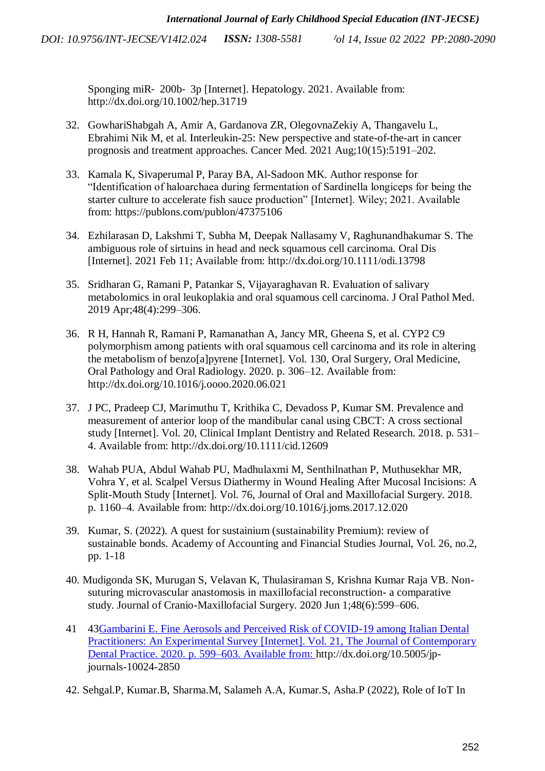> Sponging miR‐ 200b‐ 3p [Internet]. Hepatology. 2021. Available from: <http://dx.doi.org/10.1002/hep.31719>

- 32. [GowhariShabgah A, Amir A, Gardanova ZR, OlegovnaZekiy A, Thangavelu L,](http://paperpile.com/b/Gw4A79/XeuAl)  [Ebrahimi Nik M, et al. Interleukin-25: New perspective and state-of-the-art in cancer](http://paperpile.com/b/Gw4A79/XeuAl)  [prognosis and treatment approaches. Cancer Med. 2021 Aug;10\(15\):5191–202.](http://paperpile.com/b/Gw4A79/XeuAl)
- 33. [Kamala K, Sivaperumal P, Paray BA, Al-Sadoon MK. Author response for](http://paperpile.com/b/Gw4A79/xv1jS)  ["Identification of haloarchaea during fermentation of Sardinella longiceps for being the](http://paperpile.com/b/Gw4A79/xv1jS)  [starter culture to accelerate fish sauce production" \[Internet\]. Wiley; 2021. Available](http://paperpile.com/b/Gw4A79/xv1jS)  [from: https://publons.com/publon/47375106](http://paperpile.com/b/Gw4A79/xv1jS)
- 34. [Ezhilarasan D, Lakshmi T, Subha M, Deepak Nallasamy V, Raghunandhakumar S. The](http://paperpile.com/b/Gw4A79/qDC6v)  [ambiguous role of sirtuins in head and neck squamous cell carcinoma. Oral Dis](http://paperpile.com/b/Gw4A79/qDC6v)  [\[Internet\]. 2021 Feb 11; Available from: http://dx.doi.org/10.1111/odi.13798](http://paperpile.com/b/Gw4A79/qDC6v)
- 35. [Sridharan G, Ramani P, Patankar S, Vijayaraghavan R. Evaluation of salivary](http://paperpile.com/b/Gw4A79/Ry1fT)  [metabolomics in oral leukoplakia and oral squamous cell carcinoma. J Oral Pathol Med.](http://paperpile.com/b/Gw4A79/Ry1fT)  [2019 Apr;48\(4\):299–306.](http://paperpile.com/b/Gw4A79/Ry1fT)
- 36. [R H, Hannah R, Ramani P, Ramanathan A, Jancy MR, Gheena S, et al. CYP2 C9](http://paperpile.com/b/Gw4A79/oU1iC)  [polymorphism among patients with oral squamous cell carcinoma and its role in altering](http://paperpile.com/b/Gw4A79/oU1iC)  [the metabolism of benzo\[a\]pyrene \[Internet\]. Vol. 130, Oral Surgery, Oral Medicine,](http://paperpile.com/b/Gw4A79/oU1iC)  [Oral Pathology and Oral Radiology. 2020. p. 306–12. Available from:](http://paperpile.com/b/Gw4A79/oU1iC)  [http://dx.doi.org/10.1016/j.oooo.2020.06.021](http://paperpile.com/b/Gw4A79/oU1iC)
- 37. [J PC, Pradeep CJ, Marimuthu T, Krithika C, Devadoss P, Kumar SM. Prevalence and](http://paperpile.com/b/Gw4A79/znvaL)  [measurement of anterior loop of the mandibular canal using CBCT: A cross sectional](http://paperpile.com/b/Gw4A79/znvaL)  [study \[Internet\]. Vol. 20, Clinical Implant Dentistry and Related Research. 2018. p. 531–](http://paperpile.com/b/Gw4A79/znvaL) [4. Available from: http://dx.doi.org/10.1111/cid.12609](http://paperpile.com/b/Gw4A79/znvaL)
- 38. [Wahab PUA, Abdul Wahab PU, Madhulaxmi M, Senthilnathan P, Muthusekhar MR,](http://paperpile.com/b/Gw4A79/ybjtC)  [Vohra Y, et al. Scalpel Versus Diathermy in Wound Healing After Mucosal Incisions: A](http://paperpile.com/b/Gw4A79/ybjtC)  [Split-Mouth Study \[Internet\]. Vol. 76, Journal of Oral and Maxillofacial Surgery. 2018.](http://paperpile.com/b/Gw4A79/ybjtC)  [p. 1160–4. Available from: http://dx.doi.org/10.1016/j.joms.2017.12.020](http://paperpile.com/b/Gw4A79/ybjtC)
- 39. Kumar, S. (2022). A quest for sustainium (sustainability Premium): review of sustainable bonds. Academy of Accounting and Financial Studies Journal, Vol. 26, no.2, pp. 1-18
- 40. [Mudigonda SK, Murugan S, Velavan K, Thulasiraman S, Krishna Kumar Raja VB. Non](http://paperpile.com/b/Gw4A79/dgfMF)[suturing microvascular anastomosis in maxillofacial reconstruction-](http://paperpile.com/b/Gw4A79/dgfMF) a comparative [study. Journal of Cranio-Maxillofacial Surgery. 2020 Jun 1;48\(6\):599–606.](http://paperpile.com/b/Gw4A79/dgfMF)
- 41 4[3Gambarini E. Fine Aerosols and Perceived Risk of COVID-19 among Italian Dental](Gambarini%20E.%20Fine%20Aerosols%20and%20Perceived%20Risk%20of%20COVID-19%20among%20Italian%20Dental%20Practitioners:%20An%20Experimental%20Survey%20%5bInternet%5d.%20Vol.%2021,%20The%20Journal%20of%20Contemporary%20Dental%20Practice.%202020.%20p.%20599�603.%20Available%20from:)  [Practitioners: An Experimental Survey \[Internet\]. Vol. 21, The Journal of Contemporary](Gambarini%20E.%20Fine%20Aerosols%20and%20Perceived%20Risk%20of%20COVID-19%20among%20Italian%20Dental%20Practitioners:%20An%20Experimental%20Survey%20%5bInternet%5d.%20Vol.%2021,%20The%20Journal%20of%20Contemporary%20Dental%20Practice.%202020.%20p.%20599�603.%20Available%20from:)  [Dental Practice. 2020. p. 599–603. Available from: http://dx.doi.org/10.5005/jp](Gambarini%20E.%20Fine%20Aerosols%20and%20Perceived%20Risk%20of%20COVID-19%20among%20Italian%20Dental%20Practitioners:%20An%20Experimental%20Survey%20%5bInternet%5d.%20Vol.%2021,%20The%20Journal%20of%20Contemporary%20Dental%20Practice.%202020.%20p.%20599�603.%20Available%20from:)journals-10024-2850
- 42. Sehgal.P, Kumar.B, Sharma.M, Salameh A.A, Kumar.S, Asha.P (2022), Role of IoT In